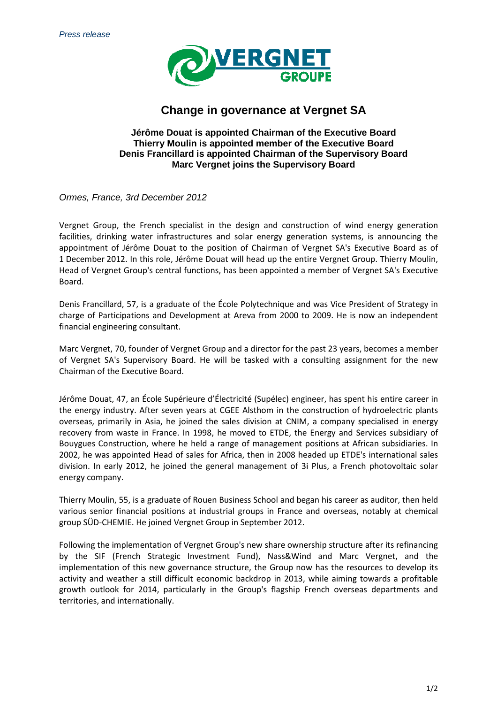

## **Change in governance at Vergnet SA**

## **Jérôme Douat is appointed Chairman of the Executive Board Thierry Moulin is appointed member of the Executive Board Denis Francillard is appointed Chairman of the Supervisory Board Marc Vergnet joins the Supervisory Board**

Ormes, France, 3rd December 2012

Vergnet Group, the French specialist in the design and construction of wind energy generation facilities, drinking water infrastructures and solar energy generation systems, is announcing the appointment of Jérôme Douat to the position of Chairman of Vergnet SA's Executive Board as of 1 December 2012. In this role, Jérôme Douat will head up the entire Vergnet Group. Thierry Moulin, Head of Vergnet Group's central functions, has been appointed a member of Vergnet SA's Executive Board.

Denis Francillard, 57, is a graduate of the École Polytechnique and was Vice President of Strategy in charge of Participations and Development at Areva from 2000 to 2009. He is now an independent financial engineering consultant.

Marc Vergnet, 70, founder of Vergnet Group and a director for the past 23 years, becomes a member of Vergnet SA's Supervisory Board. He will be tasked with a consulting assignment for the new Chairman of the Executive Board. has been appointed a member of Vergnet SA's Executive<br>
Ecole Polytechnique and was Vice President of Strategy in<br>
t at Areva from 2000 to 2009. He is now an independent<br>
up and a director for the past 23 years, becomes a m

Jérôme Douat, 47, an École Supérieure d'Électricité (Supélec) engineer, has spent his entire the energy industry. After seven years at CGEE Alsthom in the construction of hydroelectric plants overseas, primarily in Asia, he joined the sales division at CNIM, a company specialised in energy recovery from waste in France. In 1998, he moved to ETDE, the Energy and Services subsidiary of Bouygues Construction, where he held a range of management positions at African subsidiaries. In 2002, he was appointed Head of sales for Afr Africa, then in 2008 headed up ETDE division. In early 2012, he joined the general management of 3i Plus, a French photovoltaic solar energy company. EE Alsthom in the construction of hydroelectric plants<br>es division at CNIM, a company specialised in energy<br>moved to ETDE, the Energy and Services subsidiary of<br>ge of management positions at African subsidiaries. In<br>ica, t

Thierry Moulin, 55, is a graduate of Rouen Business School and began his career as auditor, then held various senior financial positions at industrial groups in France and overseas, notably at chemical group SÜD-CHEMIE. He joined Vergnet Group in September 2012.

Following the implementation of Vergnet Group's new share ownership structure after its refinancing by the SIF (French Strategic Investment Fund), Nass&Wind and Marc Vergnet, and the implementation of this new governance structure, the Group now has the resources to develop its activity and weather a still difficult economic backdrop in 2013, while aiming towards a profitable growth outlook for 2014, particularly in the Group's flagship French overseas departments and , territories, and internationally. CHEMIE. He joined Vergnet Group in September 2012.<br>ne implementation of Vergnet Group's new share ownership structure after its refinancing<br>F (French Strategic Investment Fund), Nass&Wind and Marc Vergnet, and the